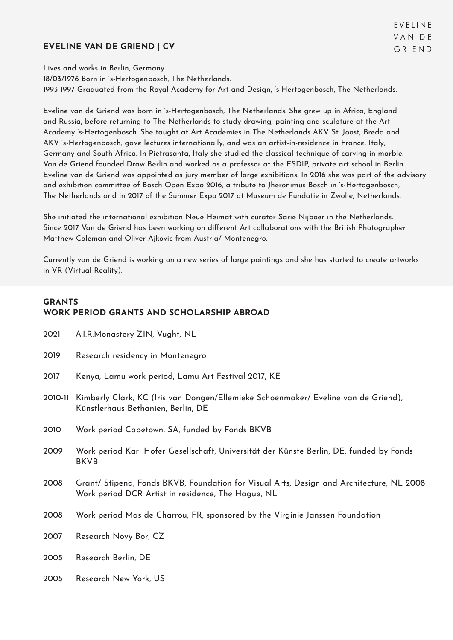#### **EVELINE VAN DE GRIEND | CV**

Lives and works in Berlin, Germany. 18/03/1976 Born in 's-Hertogenbosch, The Netherlands. 1993-1997 Graduated from the Royal Academy for Art and Design, 's-Hertogenbosch, The Netherlands.

Eveline van de Griend was born in 's-Hertogenbosch, The Netherlands. She grew up in Africa, England and Russia, before returning to The Netherlands to study drawing, painting and sculpture at the Art Academy 's-Hertogenbosch. She taught at Art Academies in The Netherlands AKV St. Joost, Breda and AKV 's-Hertogenbosch, gave lectures internationally, and was an artist-in-residence in France, Italy, Germany and South Africa. In Pietrasanta, Italy she studied the classical technique of carving in marble. Van de Griend founded Draw Berlin and worked as a professor at the ESDIP, private art school in Berlin. Eveline van de Griend was appointed as jury member of large exhibitions. In 2016 she was part of the advisory and exhibition committee of Bosch Open Expo 2016, a tribute to Jheronimus Bosch in 's-Hertogenbosch, The Netherlands and in 2017 of the Summer Expo 2017 at Museum de Fundatie in Zwolle, Netherlands.

She initiated the international exhibition Neue Heimat with curator Sarie Nijboer in the Netherlands. Since 2017 Van de Griend has been working on different Art collaborations with the British Photographer Matthew Coleman and Oliver Ajkovic from Austria/ Montenegro.

Currently van de Griend is working on a new series of large paintings and she has started to create artworks in VR (Virtual Reality).

### **GRANTS WORK PERIOD GRANTS AND SCHOLARSHIP ABROAD**

- 2021 A.I.R.Monastery ZIN, Vught, NL
- 2019 Research residency in Montenegro
- 2017 Kenya, Lamu work period, Lamu Art Festival 2017, KE
- 2010-11 Kimberly Clark, KC (Iris van Dongen/Ellemieke Schoenmaker/ Eveline van de Griend), Künstlerhaus Bethanien, Berlin, DE
- 2010 Work period Capetown, SA, funded by Fonds BKVB
- 2009 Work period Karl Hofer Gesellschaft, Universität der Künste Berlin, DE, funded by Fonds BKVB
- 2008 Grant/ Stipend, Fonds BKVB, Foundation for Visual Arts, Design and Architecture, NL 2008 Work period DCR Artist in residence, The Hague, NL
- 2008 Work period Mas de Charrou, FR, sponsored by the Virginie Janssen Foundation
- 2007 Research Novy Bor, CZ
- 2005 Research Berlin, DE
- 2005 Research New York, US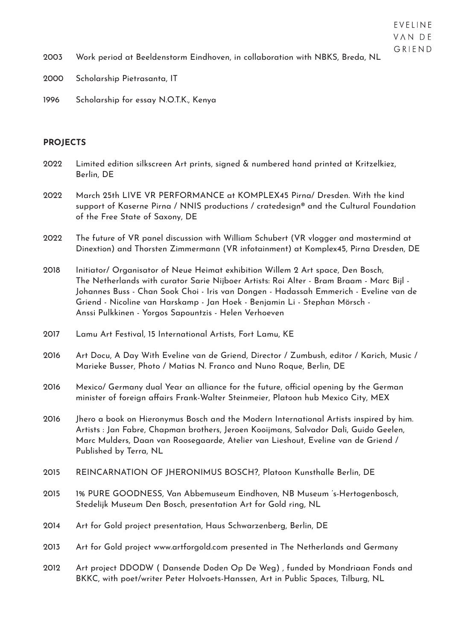# VAN DE GRIEND

EVELINE

2000 Scholarship Pietrasanta, IT

1996 Scholarship for essay N.O.T.K., Kenya

## **PROJECTS**

| 2022 | Limited edition silkscreen Art prints, signed & numbered hand printed at Kritzelkiez,<br>Berlin, DE                                                                                                                                                                                                                                                                                                         |
|------|-------------------------------------------------------------------------------------------------------------------------------------------------------------------------------------------------------------------------------------------------------------------------------------------------------------------------------------------------------------------------------------------------------------|
| 2022 | March 25th LIVE VR PERFORMANCE at KOMPLEX45 Pirna/ Dresden. With the kind<br>support of Kaserne Pirna / NNIS productions / cratedesign® and the Cultural Foundation<br>of the Free State of Saxony, DE                                                                                                                                                                                                      |
| 2022 | The future of VR panel discussion with William Schubert (VR vlogger and mastermind at<br>Dinextion) and Thorsten Zimmermann (VR infotainment) at Komplex45, Pirna Dresden, DE                                                                                                                                                                                                                               |
| 2018 | Initiator/ Organisator of Neue Heimat exhibition Willem 2 Art space, Den Bosch,<br>The Netherlands with curator Sarie Nijboer Artists: Roi Alter - Bram Braam - Marc Bijl -<br>Johannes Buss - Chan Sook Choi - Iris van Dongen - Hadassah Emmerich - Eveline van de<br>Griend - Nicoline van Harskamp - Jan Hoek - Benjamin Li - Stephan Mörsch -<br>Anssi Pulkkinen - Yorgos Sapountzis - Helen Verhoeven |
| 2017 | Lamu Art Festival, 15 International Artists, Fort Lamu, KE                                                                                                                                                                                                                                                                                                                                                  |
| 2016 | Art Docu, A Day With Eveline van de Griend, Director / Zumbush, editor / Karich, Music /<br>Marieke Busser, Photo / Matias N. Franco and Nuno Roque, Berlin, DE                                                                                                                                                                                                                                             |
| 2016 | Mexico/ Germany dual Year an alliance for the future, official opening by the German<br>minister of foreign affairs Frank-Walter Steinmeier, Platoon hub Mexico City, MEX                                                                                                                                                                                                                                   |
| 2016 | Jhero a book on Hieronymus Bosch and the Modern International Artists inspired by him.<br>Artists : Jan Fabre, Chapman brothers, Jeroen Kooijmans, Salvador Dali, Guido Geelen,<br>Marc Mulders, Daan van Roosegaarde, Atelier van Lieshout, Eveline van de Griend /<br>Published by Terra, NL                                                                                                              |
| 2015 | REINCARNATION OF JHERONIMUS BOSCH?, Platoon Kunsthalle Berlin, DE                                                                                                                                                                                                                                                                                                                                           |
| 2015 | 1% PURE GOODNESS, Van Abbemuseum Eindhoven, NB Museum 's-Hertogenbosch,<br>Stedelijk Museum Den Bosch, presentation Art for Gold ring, NL                                                                                                                                                                                                                                                                   |
| 2014 | Art for Gold project presentation, Haus Schwarzenberg, Berlin, DE                                                                                                                                                                                                                                                                                                                                           |
| 2013 | Art for Gold project www.artforgold.com presented in The Netherlands and Germany                                                                                                                                                                                                                                                                                                                            |
| 2012 | Art project DDODW (Dansende Doden Op De Weg), funded by Mondriaan Fonds and<br>BKKC, with poet/writer Peter Holvoets-Hanssen, Art in Public Spaces, Tilburg, NL                                                                                                                                                                                                                                             |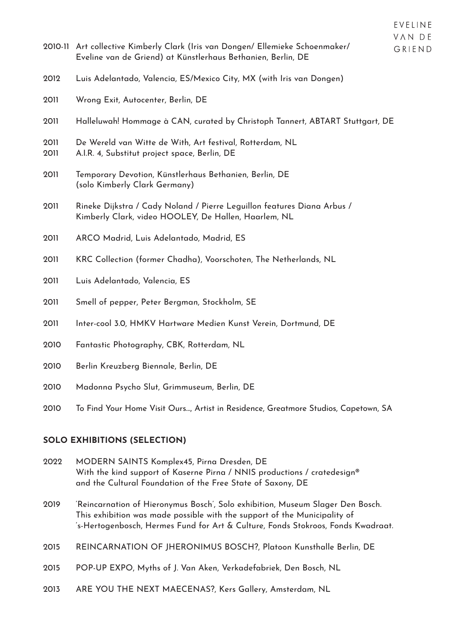|              | 2010-11 Art collective Kimberly Clark (Iris van Dongen/ Ellemieke Schoenmaker/<br>Eveline van de Griend) at Künstlerhaus Bethanien, Berlin, DE | VAN DE<br>GRIEND |
|--------------|------------------------------------------------------------------------------------------------------------------------------------------------|------------------|
| 2012         | Luis Adelantado, Valencia, ES/Mexico City, MX (with Iris van Dongen)                                                                           |                  |
| 2011         | Wrong Exit, Autocenter, Berlin, DE                                                                                                             |                  |
| 2011         | Halleluwah! Hommage à CAN, curated by Christoph Tannert, ABTART Stuttgart, DE                                                                  |                  |
| 2011<br>2011 | De Wereld van Witte de With, Art festival, Rotterdam, NL<br>A.I.R. 4, Substitut project space, Berlin, DE                                      |                  |
| 2011         | Temporary Devotion, Künstlerhaus Bethanien, Berlin, DE<br>(solo Kimberly Clark Germany)                                                        |                  |
| 2011         | Rineke Dijkstra / Cady Noland / Pierre Leguillon features Diana Arbus /<br>Kimberly Clark, video HOOLEY, De Hallen, Haarlem, NL                |                  |
| 2011         | ARCO Madrid, Luis Adelantado, Madrid, ES                                                                                                       |                  |
| 2011         | KRC Collection (former Chadha), Voorschoten, The Netherlands, NL                                                                               |                  |
| 2011         | Luis Adelantado, Valencia, ES                                                                                                                  |                  |
| 2011         | Smell of pepper, Peter Bergman, Stockholm, SE                                                                                                  |                  |
| 2011         | Inter-cool 3.0, HMKV Hartware Medien Kunst Verein, Dortmund, DE                                                                                |                  |

**FVFIINF** 

- Fantastic Photography, CBK, Rotterdam, NL
- Berlin Kreuzberg Biennale, Berlin, DE
- Madonna Psycho Slut, Grimmuseum, Berlin, DE
- To Find Your Home Visit Ours…, Artist in Residence, Greatmore Studios, Capetown, SA

#### **SOLO EXHIBITIONS (SELECTION)**

- MODERN SAINTS Komplex45, Pirna Dresden, DE With the kind support of Kaserne Pirna / NNIS productions / cratedesign® and the Cultural Foundation of the Free State of Saxony, DE
- 'Reincarnation of Hieronymus Bosch', Solo exhibition, Museum Slager Den Bosch. This exhibition was made possible with the support of the Municipality of 's-Hertogenbosch, Hermes Fund for Art & Culture, Fonds Stokroos, Fonds Kwadraat.
- REINCARNATION OF JHERONIMUS BOSCH?, Platoon Kunsthalle Berlin, DE
- POP-UP EXPO, Myths of J. Van Aken, Verkadefabriek, Den Bosch, NL
- ARE YOU THE NEXT MAECENAS?, Kers Gallery, Amsterdam, NL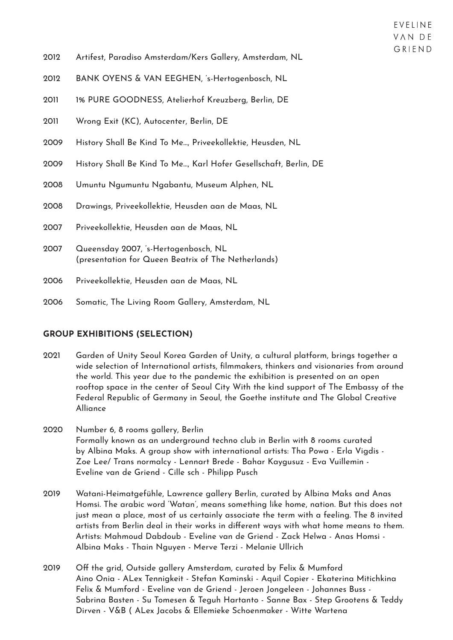- 2012 Artifest, Paradiso Amsterdam/Kers Gallery, Amsterdam, NL
- 2012 BANK OYENS & VAN EEGHEN, 's-Hertogenbosch, NL
- 2011 1% PURE GOODNESS, Atelierhof Kreuzberg, Berlin, DE
- 2011 Wrong Exit (KC), Autocenter, Berlin, DE
- 2009 History Shall Be Kind To Me…, Priveekollektie, Heusden, NL
- 2009 History Shall Be Kind To Me…, Karl Hofer Gesellschaft, Berlin, DE
- 2008 Umuntu Ngumuntu Ngabantu, Museum Alphen, NL
- 2008 Drawings, Priveekollektie, Heusden aan de Maas, NL
- 2007 Priveekollektie, Heusden aan de Maas, NL
- 2007 Queensday 2007, 's-Hertogenbosch, NL (presentation for Queen Beatrix of The Netherlands)
- 2006 Priveekollektie, Heusden aan de Maas, NL
- 2006 Somatic, The Living Room Gallery, Amsterdam, NL

#### **GROUP EXHIBITIONS (SELECTION)**

- 2021 Garden of Unity Seoul Korea Garden of Unity, a cultural platform, brings together a wide selection of International artists, filmmakers, thinkers and visionaries from around the world. This year due to the pandemic the exhibition is presented on an open rooftop space in the center of Seoul City With the kind support of The Embassy of the Federal Republic of Germany in Seoul, the Goethe institute and The Global Creative Alliance
- 2020 Number 6, 8 rooms gallery, Berlin Formally known as an underground techno club in Berlin with 8 rooms curated by Albina Maks. A group show with international artists: Tha Powa - Erla Vigdis - Zoe Lee/ Trans normalcy - Lennart Brede - Bahar Kaygusuz - Eva Vuillemin - Eveline van de Griend - Cille sch - Philipp Pusch
- 2019 Watani-Heimatgefühle, Lawrence gallery Berlin, curated by Albina Maks and Anas Homsi. The arabic word 'Watan', means something like home, nation. But this does not just mean a place, most of us certainly associate the term with a feeling. The 8 invited artists from Berlin deal in their works in different ways with what home means to them. Artists: Mahmoud Dabdoub - Eveline van de Griend - Zack Helwa - Anas Homsi - Albina Maks - Thain Nguyen - Merve Terzi - Melanie Ullrich
- 2019 Off the grid, Outside gallery Amsterdam, curated by Felix & Mumford Aino Onia - ALex Tennigkeit - Stefan Kaminski - Aquil Copier - Ekaterina Mitichkina Felix & Mumford - Eveline van de Griend - Jeroen Jongeleen - Johannes Buss - Sabrina Basten - Su Tomesen & Teguh Hartanto - Sanne Bax - Step Grootens & Teddy Dirven - V&B ( ALex Jacobs & Ellemieke Schoenmaker - Witte Wartena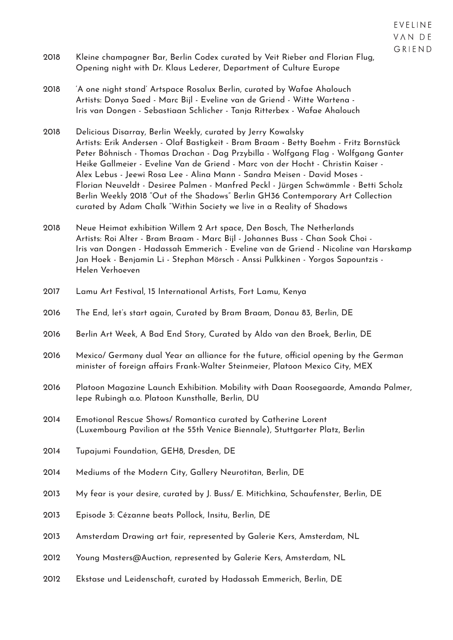GRIEND 2018 Kleine champagner Bar, Berlin Codex curated by Veit Rieber and Florian Flug, Opening night with Dr. Klaus Lederer, Department of Culture Europe

EVELINE VAN DE

- 2018 'A one night stand' Artspace Rosalux Berlin, curated by Wafae Ahalouch Artists: Donya Saed - Marc Bijl - Eveline van de Griend - Witte Wartena - Iris van Dongen - Sebastiaan Schlicher - Tanja Ritterbex - Wafae Ahalouch
- 2018 Delicious Disarray, Berlin Weekly, curated by Jerry Kowalsky Artists: Erik Andersen - Olaf Bastigkeit - Bram Braam - Betty Boehm - Fritz Bornstück Peter Böhnisch - Thomas Drachan - Dag Przybilla - Wolfgang Flag - Wolfgang Ganter Heike Gallmeier - Eveline Van de Griend - Marc von der Hocht - Christin Kaiser - Alex Lebus - Jeewi Rosa Lee - Alina Mann - Sandra Meisen - David Moses - Florian Neuveldt - Desiree Palmen - Manfred Peckl - Jürgen Schwämmle - Betti Scholz Berlin Weekly 2018 "Out of the Shadows" Berlin GH36 Contemporary Art Collection curated by Adam Chalk "Within Society we live in a Reality of Shadows
- 2018 Neue Heimat exhibition Willem 2 Art space, Den Bosch, The Netherlands Artists: Roi Alter - Bram Braam - Marc Bijl - Johannes Buss - Chan Sook Choi - Iris van Dongen - Hadassah Emmerich - Eveline van de Griend - Nicoline van Harskamp Jan Hoek - Benjamin Li - Stephan Mörsch - Anssi Pulkkinen - Yorgos Sapountzis - Helen Verhoeven
- 2017 Lamu Art Festival, 15 International Artists, Fort Lamu, Kenya
- 2016 The End, let's start again, Curated by Bram Braam, Donau 83, Berlin, DE
- 2016 Berlin Art Week, A Bad End Story, Curated by Aldo van den Broek, Berlin, DE
- 2016 Mexico/ Germany dual Year an alliance for the future, official opening by the German minister of foreign affairs Frank-Walter Steinmeier, Platoon Mexico City, MEX
- 2016 Platoon Magazine Launch Exhibition. Mobility with Daan Roosegaarde, Amanda Palmer, Iepe Rubingh a.o. Platoon Kunsthalle, Berlin, DU
- 2014 Emotional Rescue Shows/ Romantica curated by Catherine Lorent (Luxembourg Pavilion at the 55th Venice Biennale), Stuttgarter Platz, Berlin
- 2014 Tupajumi Foundation, GEH8, Dresden, DE
- 2014 Mediums of the Modern City, Gallery Neurotitan, Berlin, DE
- 2013 My fear is your desire, curated by J. Buss/ E. Mitichkina, Schaufenster, Berlin, DE
- 2013 Episode 3: Cézanne beats Pollock, Insitu, Berlin, DE
- 2013 Amsterdam Drawing art fair, represented by Galerie Kers, Amsterdam, NL
- 2012 Young Masters@Auction, represented by Galerie Kers, Amsterdam, NL
- 2012 Ekstase und Leidenschaft, curated by Hadassah Emmerich, Berlin, DE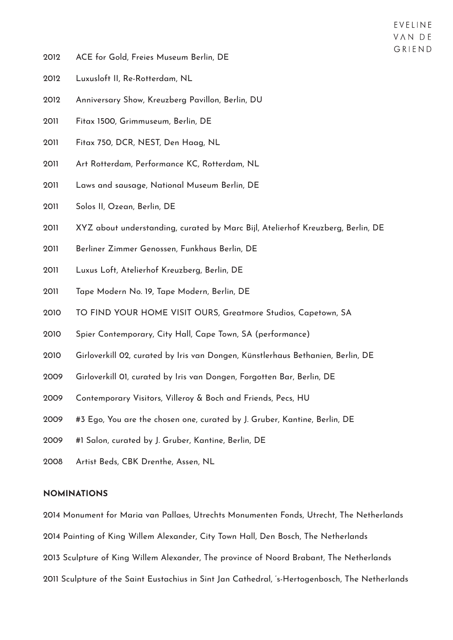- ACE for Gold, Freies Museum Berlin, DE
- Luxusloft II, Re-Rotterdam, NL
- Anniversary Show, Kreuzberg Pavillon, Berlin, DU
- Fitax 1500, Grimmuseum, Berlin, DE
- Fitax 750, DCR, NEST, Den Haag, NL
- Art Rotterdam, Performance KC, Rotterdam, NL
- Laws and sausage, National Museum Berlin, DE
- Solos II, Ozean, Berlin, DE
- XYZ about understanding, curated by Marc Bijl, Atelierhof Kreuzberg, Berlin, DE
- Berliner Zimmer Genossen, Funkhaus Berlin, DE
- Luxus Loft, Atelierhof Kreuzberg, Berlin, DE
- Tape Modern No. 19, Tape Modern, Berlin, DE
- TO FIND YOUR HOME VISIT OURS, Greatmore Studios, Capetown, SA
- Spier Contemporary, City Hall, Cape Town, SA (performance)
- Girloverkill 02, curated by Iris van Dongen, Künstlerhaus Bethanien, Berlin, DE
- Girloverkill 01, curated by Iris van Dongen, Forgotten Bar, Berlin, DE
- Contemporary Visitors, Villeroy & Boch and Friends, Pecs, HU
- #3 Ego, You are the chosen one, curated by J. Gruber, Kantine, Berlin, DE
- #1 Salon, curated by J. Gruber, Kantine, Berlin, DE
- Artist Beds, CBK Drenthe, Assen, NL

#### **NOMINATIONS**

2014 Monument for Maria van Pallaes, Utrechts Monumenten Fonds, Utrecht, The Netherlands

2014 Painting of King Willem Alexander, City Town Hall, Den Bosch, The Netherlands

2013 Sculpture of King Willem Alexander, The province of Noord Brabant, The Netherlands

2011 Sculpture of the Saint Eustachius in Sint Jan Cathedral, 's-Hertogenbosch, The Netherlands